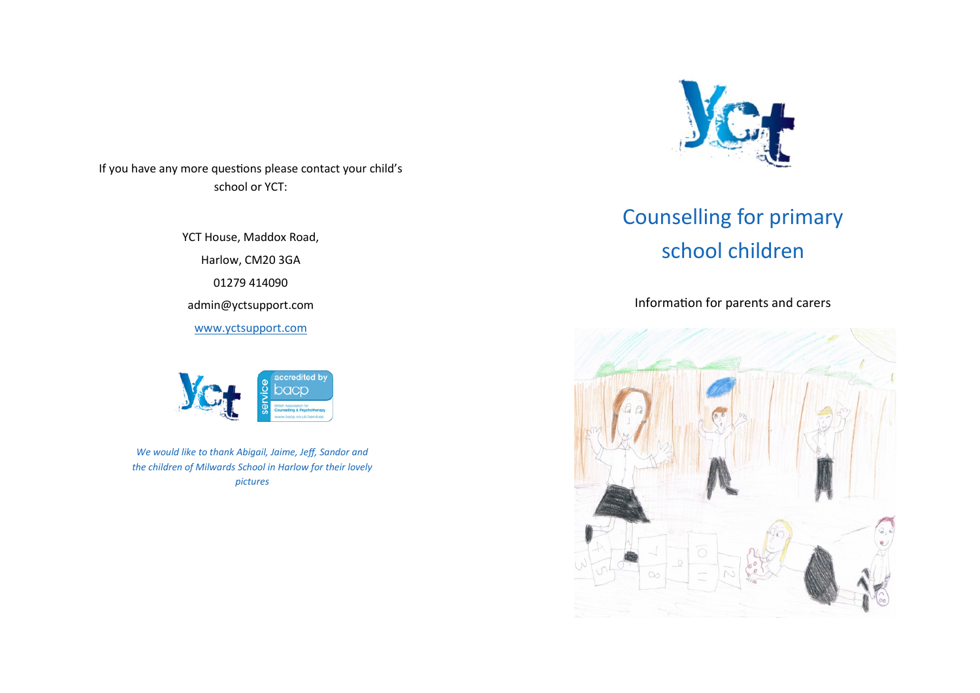If you have any more questions please contact your child's school or YCT:

> YCT House, Maddox Road, Harlow, CM20 3GA 01279 414090 admin@yctsupport.com [www.yctsupport.com](http://www.yctsupport.com)



*We would like to thank Abigail, Jaime, Jeff, Sandor and the children of Milwards School in Harlow for their lovely pictures*



# Counselling for primary school children

Information for parents and carers

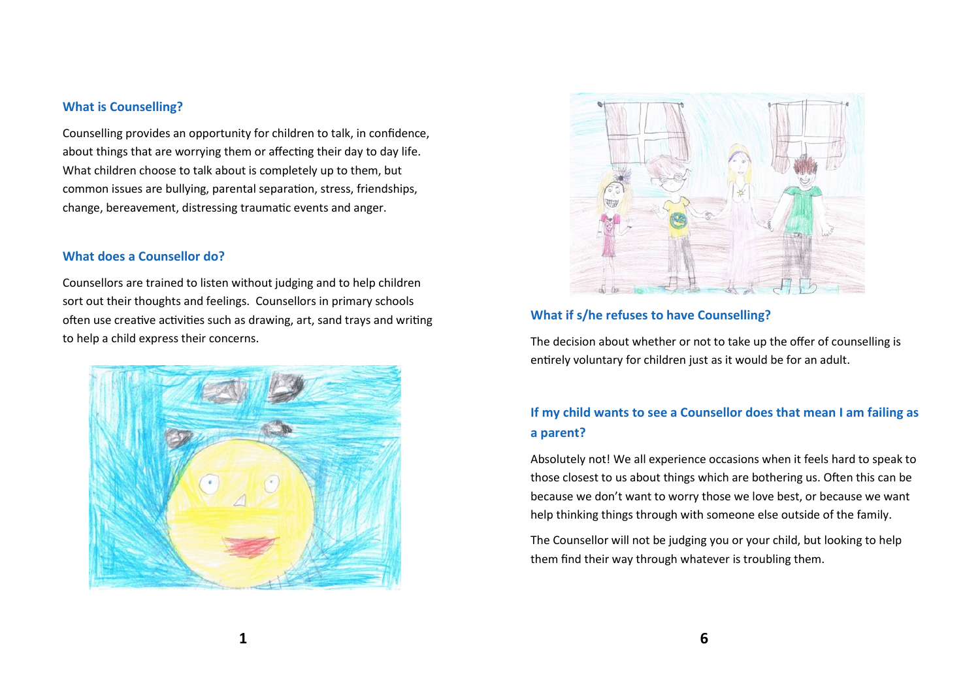### **What is Counselling?**

Counselling provides an opportunity for children to talk, in confidence, about things that are worrying them or affecting their day to day life. What children choose to talk about is completely up to them, but common issues are bullying, parental separation, stress, friendships, change, bereavement, distressing traumatic events and anger.

#### **What does a Counsellor do?**

Counsellors are trained to listen without judging and to help children sort out their thoughts and feelings. Counsellors in primary schools often use creative activities such as drawing, art, sand trays and writing to help a child express their concerns.





# **What if s/he refuses to have Counselling?**

The decision about whether or not to take up the offer of counselling is entirely voluntary for children just as it would be for an adult.

# **If my child wants to see a Counsellor does that mean I am failing as a parent?**

Absolutely not! We all experience occasions when it feels hard to speak to those closest to us about things which are bothering us. Often this can be because we don't want to worry those we love best, or because we want help thinking things through with someone else outside of the family.

The Counsellor will not be judging you or your child, but looking to help them find their way through whatever is troubling them.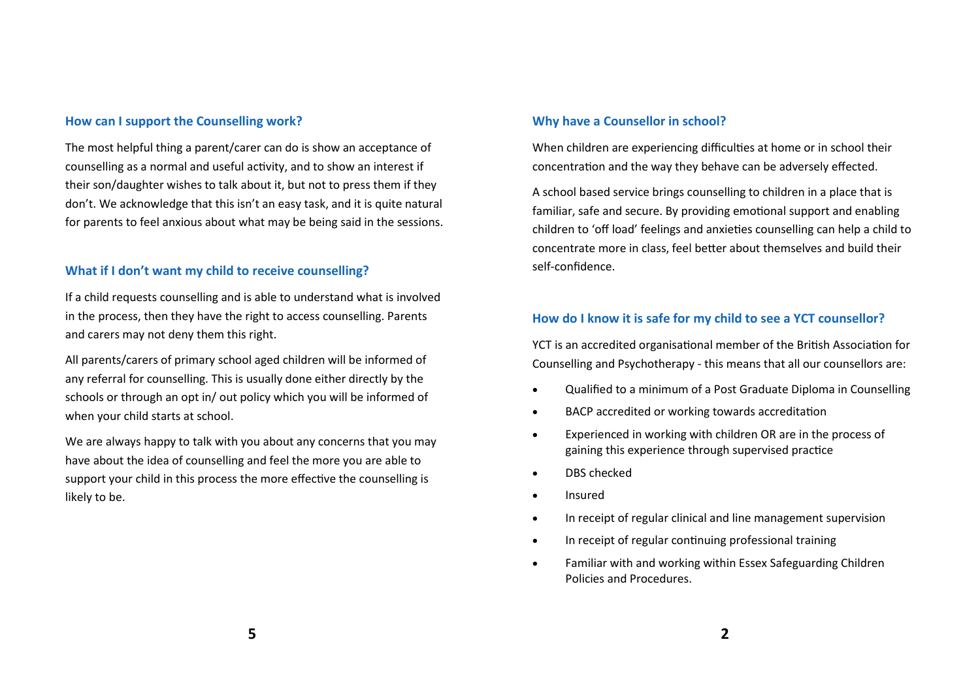## **How can I support the Counselling work?**

The most helpful thing a parent/carer can do is show an acceptance of counselling as a normal and useful activity, and to show an interest if their son/daughter wishes to talk about it, but not to press them if they don't. We acknowledge that this isn't an easy task, and it is quite natural for parents to feel anxious about what may be being said in the sessions.

## **What if I don't want my child to receive counselling?**

If a child requests counselling and is able to understand what is involved in the process, then they have the right to access counselling. Parents and carers may not deny them this right.

All parents/carers of primary school aged children will be informed of any referral for counselling. This is usually done either directly by the schools or through an opt in/ out policy which you will be informed of when your child starts at school.

We are always happy to talk with you about any concerns that you may have about the idea of counselling and feel the more you are able to support your child in this process the more effective the counselling is likely to be.

## **Why have a Counsellor in school?**

When children are experiencing difficulties at home or in school their concentration and the way they behave can be adversely effected.

A school based service brings counselling to children in a place that is familiar, safe and secure. By providing emotional support and enabling children to 'off load' feelings and anxieties counselling can help a child to concentrate more in class, feel better about themselves and build their self-confidence.

# **How do I know it is safe for my child to see a YCT counsellor?**

YCT is an accredited organisational member of the British Association for Counselling and Psychotherapy - this means that all our counsellors are:

- Qualified to a minimum of a Post Graduate Diploma in Counselling
- BACP accredited or working towards accreditation
- Experienced in working with children OR are in the process of gaining this experience through supervised practice
- DBS checked
- Insured
- In receipt of regular clinical and line management supervision
- In receipt of regular continuing professional training
- Familiar with and working within Essex Safeguarding Children Policies and Procedures.